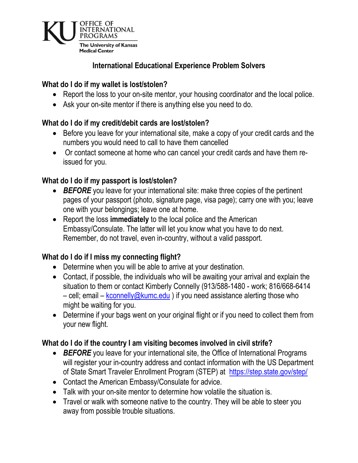

# **International Educational Experience Problem Solvers**

#### **What do I do if my wallet is lost/stolen?**

- Report the loss to your on-site mentor, your housing coordinator and the local police.
- Ask your on-site mentor if there is anything else you need to do.

#### **What do I do if my credit/debit cards are lost/stolen?**

- Before you leave for your international site, make a copy of your credit cards and the numbers you would need to call to have them cancelled
- Or contact someone at home who can cancel your credit cards and have them reissued for you.

#### **What do I do if my passport is lost/stolen?**

- *BEFORE* you leave for your international site: make three copies of the pertinent pages of your passport (photo, signature page, visa page); carry one with you; leave one with your belongings; leave one at home.
- Report the loss **immediately** to the local police and the American Embassy/Consulate. The latter will let you know what you have to do next. Remember, do not travel, even in-country, without a valid passport.

# **What do I do if I miss my connecting flight?**

- Determine when you will be able to arrive at your destination.
- Contact, if possible, the individuals who will be awaiting your arrival and explain the situation to them or contact Kimberly Connelly (913/588-1480 - work; 816/668-6414 – cell; email – [kconnelly@kumc.edu](mailto:kconnelly@kumc.edu)) if you need assistance alerting those who might be waiting for you.
- Determine if your bags went on your original flight or if you need to collect them from your new flight.

#### **What do I do if the country I am visiting becomes involved in civil strife?**

- **BEFORE** you leave for your international site, the Office of International Programs will register your in-country address and contact information with the US Department of State Smart Traveler Enrollment Program (STEP) at <https://step.state.gov/step/>
- Contact the American Embassy/Consulate for advice.
- Talk with your on-site mentor to determine how volatile the situation is.
- Travel or walk with someone native to the country. They will be able to steer you away from possible trouble situations.